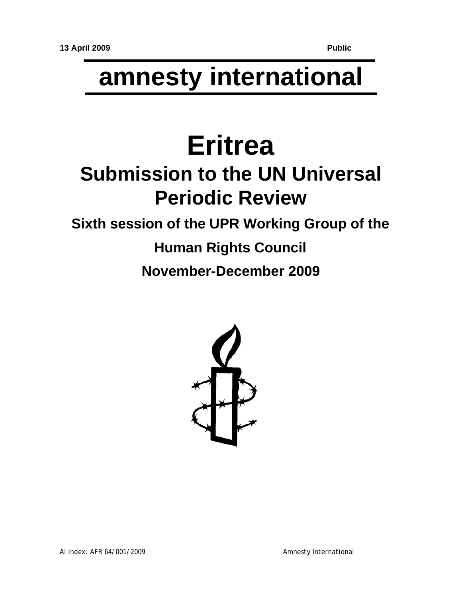# **amnesty international**

## **Eritrea Submission to the UN Universal Periodic Review**

### **Sixth session of the UPR Working Group of the**

### **Human Rights Council**

**November-December 2009**

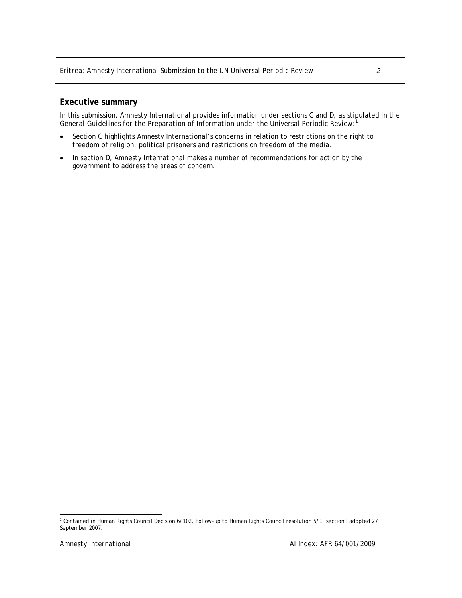#### **Executive summary**

In this submission, Amnesty International provides information under sections C and D, as stipulated in the *General Guidelines for the Preparation of Information under the Universal Periodic Review:*<sup>1</sup>

- Section C highlights Amnesty International's concerns in relation to restrictions on the right to freedom of religion, political prisoners and restrictions on freedom of the media.
- In section D, Amnesty International makes a number of recommendations for action by the government to address the areas of concern.

 1 Contained in Human Rights Council Decision 6/102, Follow-up to Human Rights Council resolution 5/1, section I adopted 27 September 2007.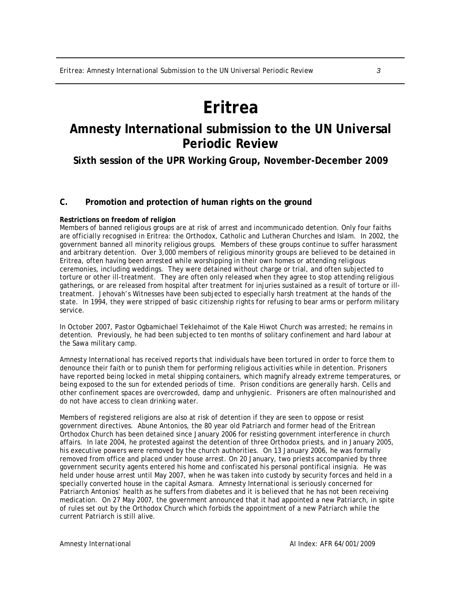### **Eritrea**

### **Amnesty International submission to the UN Universal Periodic Review**

**Sixth session of the UPR Working Group, November-December 2009** 

#### **C. Promotion and protection of human rights on the ground**

#### **Restrictions on freedom of religion**

Members of banned religious groups are at risk of arrest and incommunicado detention. Only four faiths are officially recognised in Eritrea: the Orthodox, Catholic and Lutheran Churches and Islam. In 2002, the government banned all minority religious groups. Members of these groups continue to suffer harassment and arbitrary detention. Over 3,000 members of religious minority groups are believed to be detained in Eritrea, often having been arrested while worshipping in their own homes or attending religious ceremonies, including weddings. They were detained without charge or trial, and often subjected to torture or other ill-treatment. They are often only released when they agree to stop attending religious gatherings, or are released from hospital after treatment for injuries sustained as a result of torture or illtreatment. Jehovah's Witnesses have been subjected to especially harsh treatment at the hands of the state. In 1994, they were stripped of basic citizenship rights for refusing to bear arms or perform military service.

In October 2007, Pastor Ogbamichael Teklehaimot of the Kale Hiwot Church was arrested; he remains in detention. Previously, he had been subjected to ten months of solitary confinement and hard labour at the Sawa military camp.

Amnesty International has received reports that individuals have been tortured in order to force them to denounce their faith or to punish them for performing religious activities while in detention. Prisoners have reported being locked in metal shipping containers, which magnify already extreme temperatures, or being exposed to the sun for extended periods of time. Prison conditions are generally harsh. Cells and other confinement spaces are overcrowded, damp and unhygienic. Prisoners are often malnourished and do not have access to clean drinking water.

Members of registered religions are also at risk of detention if they are seen to oppose or resist government directives. Abune Antonios, the 80 year old Patriarch and former head of the Eritrean Orthodox Church has been detained since January 2006 for resisting government interference in church affairs. In late 2004, he protested against the detention of three Orthodox priests, and in January 2005, his executive powers were removed by the church authorities. On 13 January 2006, he was formally removed from office and placed under house arrest. On 20 January, two priests accompanied by three government security agents entered his home and confiscated his personal pontifical insignia. He was held under house arrest until May 2007, when he was taken into custody by security forces and held in a specially converted house in the capital Asmara. Amnesty International is seriously concerned for Patriarch Antonios' health as he suffers from diabetes and it is believed that he has not been receiving medication. On 27 May 2007, the government announced that it had appointed a new Patriarch, in spite of rules set out by the Orthodox Church which forbids the appointment of a new Patriarch while the current Patriarch is still alive.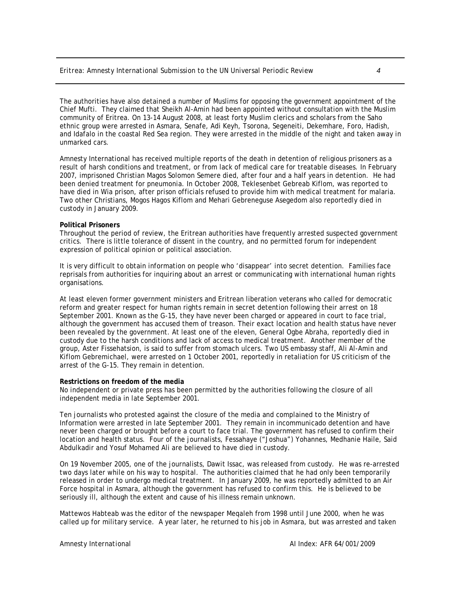The authorities have also detained a number of Muslims for opposing the government appointment of the Chief Mufti. They claimed that Sheikh Al-Amin had been appointed without consultation with the Muslim community of Eritrea. On 13-14 August 2008, at least forty Muslim clerics and scholars from the Saho ethnic group were arrested in Asmara, Senafe, Adi Keyh, Tsorona, Segeneiti, Dekemhare, Foro, Hadish, and Idafalo in the coastal Red Sea region. They were arrested in the middle of the night and taken away in unmarked cars.

Amnesty International has received multiple reports of the death in detention of religious prisoners as a result of harsh conditions and treatment, or from lack of medical care for treatable diseases. In February 2007, imprisoned Christian Magos Solomon Semere died, after four and a half years in detention. He had been denied treatment for pneumonia. In October 2008, Teklesenbet Gebreab Kiflom, was reported to have died in Wia prison, after prison officials refused to provide him with medical treatment for malaria. Two other Christians, Mogos Hagos Kiflom and Mehari Gebreneguse Asegedom also reportedly died in custody in January 2009.

#### **Political Prisoners**

Throughout the period of review, the Eritrean authorities have frequently arrested suspected government critics. There is little tolerance of dissent in the country, and no permitted forum for independent expression of political opinion or political association.

It is very difficult to obtain information on people who 'disappear' into secret detention. Families face reprisals from authorities for inquiring about an arrest or communicating with international human rights organisations.

At least eleven former government ministers and Eritrean liberation veterans who called for democratic reform and greater respect for human rights remain in secret detention following their arrest on 18 September 2001. Known as the G-15, they have never been charged or appeared in court to face trial, although the government has accused them of treason. Their exact location and health status have never been revealed by the government. At least one of the eleven, General Ogbe Abraha, reportedly died in custody due to the harsh conditions and lack of access to medical treatment. Another member of the group, Aster Fissehatsion, is said to suffer from stomach ulcers. Two US embassy staff, Ali Al-Amin and Kiflom Gebremichael, were arrested on 1 October 2001, reportedly in retaliation for US criticism of the arrest of the G-15. They remain in detention.

#### **Restrictions on freedom of the media**

No independent or private press has been permitted by the authorities following the closure of all independent media in late September 2001.

Ten journalists who protested against the closure of the media and complained to the Ministry of Information were arrested in late September 2001. They remain in incommunicado detention and have never been charged or brought before a court to face trial. The government has refused to confirm their location and health status. Four of the journalists, Fessahaye ("Joshua") Yohannes, Medhanie Haile, Said Abdulkadir and Yosuf Mohamed Ali are believed to have died in custody.

On 19 November 2005, one of the journalists, Dawit Issac, was released from custody. He was re-arrested two days later while on his way to hospital. The authorities claimed that he had only been temporarily released in order to undergo medical treatment. In January 2009, he was reportedly admitted to an Air Force hospital in Asmara, although the government has refused to confirm this. He is believed to be seriously ill, although the extent and cause of his illness remain unknown.

Mattewos Habteab was the editor of the newspaper Meqaleh from 1998 until June 2000, when he was called up for military service. A year later, he returned to his job in Asmara, but was arrested and taken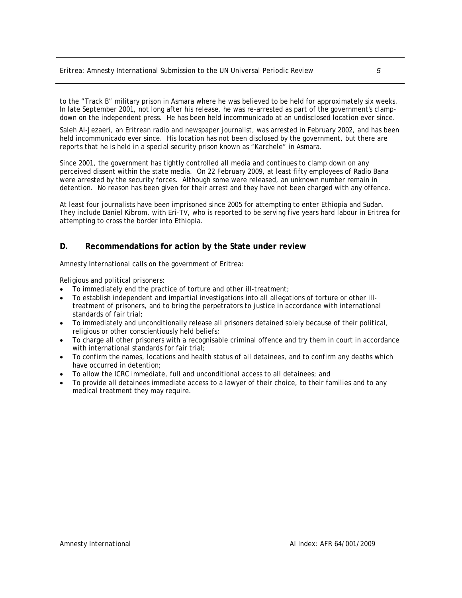to the "Track B" military prison in Asmara where he was believed to be held for approximately six weeks. In late September 2001, not long after his release, he was re-arrested as part of the government's clampdown on the independent press. He has been held incommunicado at an undisclosed location ever since.

Saleh Al-Jezaeri, an Eritrean radio and newspaper journalist, was arrested in February 2002, and has been held incommunicado ever since. His location has not been disclosed by the government, but there are reports that he is held in a special security prison known as "Karchele" in Asmara.

Since 2001, the government has tightly controlled all media and continues to clamp down on any perceived dissent within the state media. On 22 February 2009, at least fifty employees of Radio Bana were arrested by the security forces. Although some were released, an unknown number remain in detention. No reason has been given for their arrest and they have not been charged with any offence.

At least four journalists have been imprisoned since 2005 for attempting to enter Ethiopia and Sudan. They include Daniel Kibrom, with Eri-TV, who is reported to be serving five years hard labour in Eritrea for attempting to cross the border into Ethiopia.

#### **D. Recommendations for action by the State under review**

Amnesty International calls on the government of Eritrea:

*Religious and political prisoners:* 

- To immediately end the practice of torture and other ill-treatment;
- To establish independent and impartial investigations into all allegations of torture or other illtreatment of prisoners, and to bring the perpetrators to justice in accordance with international standards of fair trial;
- To immediately and unconditionally release all prisoners detained solely because of their political, religious or other conscientiously held beliefs;
- To charge all other prisoners with a recognisable criminal offence and try them in court in accordance with international standards for fair trial;
- To confirm the names, locations and health status of all detainees, and to confirm any deaths which have occurred in detention;
- To allow the ICRC immediate, full and unconditional access to all detainees; and
- To provide all detainees immediate access to a lawyer of their choice, to their families and to any medical treatment they may require.